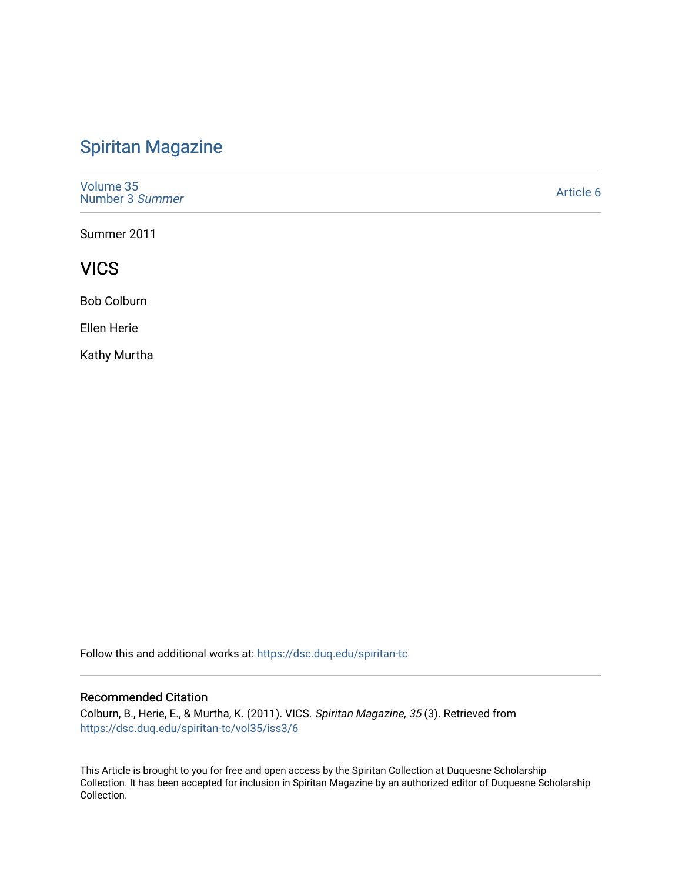# [Spiritan Magazine](https://dsc.duq.edu/spiritan-tc)

[Volume 35](https://dsc.duq.edu/spiritan-tc/vol35) [Number 3](https://dsc.duq.edu/spiritan-tc/vol35/iss3) Summer

[Article 6](https://dsc.duq.edu/spiritan-tc/vol35/iss3/6) 

Summer 2011

**VICS** 

Bob Colburn

Ellen Herie

Kathy Murtha

Follow this and additional works at: [https://dsc.duq.edu/spiritan-tc](https://dsc.duq.edu/spiritan-tc?utm_source=dsc.duq.edu%2Fspiritan-tc%2Fvol35%2Fiss3%2F6&utm_medium=PDF&utm_campaign=PDFCoverPages)

#### Recommended Citation

Colburn, B., Herie, E., & Murtha, K. (2011). VICS. Spiritan Magazine, 35 (3). Retrieved from [https://dsc.duq.edu/spiritan-tc/vol35/iss3/6](https://dsc.duq.edu/spiritan-tc/vol35/iss3/6?utm_source=dsc.duq.edu%2Fspiritan-tc%2Fvol35%2Fiss3%2F6&utm_medium=PDF&utm_campaign=PDFCoverPages) 

This Article is brought to you for free and open access by the Spiritan Collection at Duquesne Scholarship Collection. It has been accepted for inclusion in Spiritan Magazine by an authorized editor of Duquesne Scholarship Collection.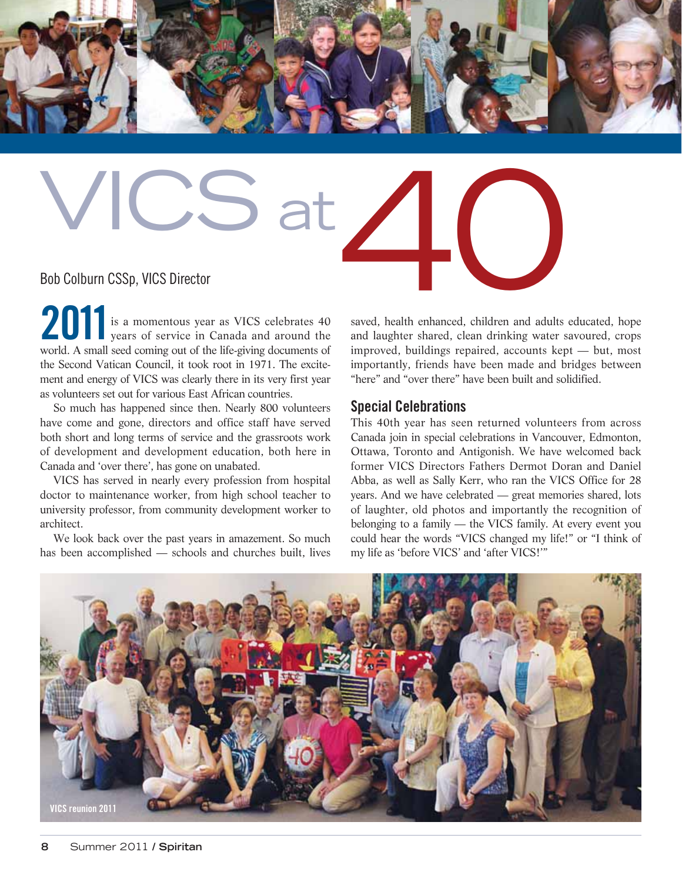

# Bob Colburn CSSp, VICS Director<br>20011 Bob Colburn CSSp, VICS Director

**2011** is a momentous year as VICS celebrates 40 years of service in Canada and around the world. A small seed coming out of the life-giving documents of the Second Vatican Council, it took root in 1971. The excitement and energy of VICS was clearly there in its very first year as volunteers set out for various East African countries.

So much has happened since then. Nearly 800 volunteers have come and gone, directors and office staff have served both short and long terms of service and the grassroots work of development and development education, both here in Canada and 'over there', has gone on unabated.

VICS has served in nearly every profession from hospital doctor to maintenance worker, from high school teacher to university professor, from community development worker to architect.

We look back over the past years in amazement. So much has been accomplished — schools and churches built, lives saved, health enhanced, children and adults educated, hope and laughter shared, clean drinking water savoured, crops improved, buildings repaired, accounts kept — but, most importantly, friends have been made and bridges between "here" and "over there" have been built and solidified.

#### **Special Celebrations**

This 40th year has seen returned volunteers from across Canada join in special celebrations in Vancouver, Edmonton, Ottawa, Toronto and Antigonish. We have welcomed back former VICS Directors Fathers Dermot Doran and Daniel Abba, as well as Sally Kerr, who ran the VICS Office for 28 years. And we have celebrated — great memories shared, lots of laughter, old photos and importantly the recognition of belonging to a family — the VICS family. At every event you could hear the words "VICS changed my life!" or "I think of my life as 'before VICS' and 'after VICS!'"

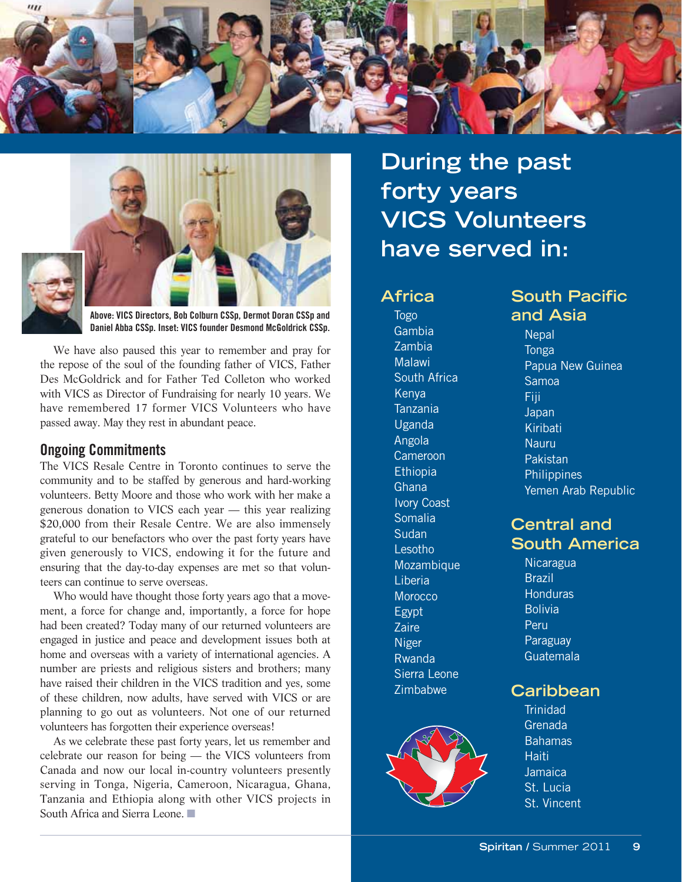



**Above: VICS Directors, Bob Colburn CSSp, Dermot Doran CSSp and Daniel Abba CSSp. Inset: VICS founder Desmond McGoldrick CSSp.**

We have also paused this year to remember and pray for the repose of the soul of the founding father of VICS, Father Des McGoldrick and for Father Ted Colleton who worked with VICS as Director of Fundraising for nearly 10 years. We have remembered 17 former VICS Volunteers who have passed away. May they rest in abundant peace.

#### **Ongoing Commitments**

The VICS Resale Centre in Toronto continues to serve the community and to be staffed by generous and hard-working volunteers. Betty Moore and those who work with her make a generous donation to VICS each year — this year realizing \$20,000 from their Resale Centre. We are also immensely grateful to our benefactors who over the past forty years have given generously to VICS, endowing it for the future and ensuring that the day-to-day expenses are met so that volunteers can continue to serve overseas.

Who would have thought those forty years ago that a movement, a force for change and, importantly, a force for hope had been created? Today many of our returned volunteers are engaged in justice and peace and development issues both at home and overseas with a variety of international agencies. A number are priests and religious sisters and brothers; many have raised their children in the VICS tradition and yes, some of these children, now adults, have served with VICS or are planning to go out as volunteers. Not one of our returned volunteers has forgotten their experience overseas!

As we celebrate these past forty years, let us remember and celebrate our reason for being — the VICS volunteers from Canada and now our local in-country volunteers presently serving in Tonga, Nigeria, Cameroon, Nicaragua, Ghana, Tanzania and Ethiopia along with other VICS projects in South Africa and Sierra Leone.

**During the past forty years VICS Volunteers have served in:**

#### **Africa**

Togo Gambia Zambia Malawi South Africa Kenya Tanzania Uganda Angola Cameroon Ethiopia **Ghana** Ivory Coast Somalia **Sudan** Lesotho Mozambique Liberia **Morocco** Egypt **Zaire** Niger Rwanda Sierra Leone Zimbabwe



# **South Pacific and Asia**

**Nepal** Tonga Papua New Guinea Samoa Fiji **Japan** Kiribati Nauru Pakistan **Philippines** Yemen Arab Republic

# **Central and South America**

**Nicaragua** Brazil **Honduras Bolivia Peru Paraguay** Guatemala

## **Caribbean**

**Trinidad** Grenada **Bahamas Haiti** Jamaica St. Lucia St. Vincent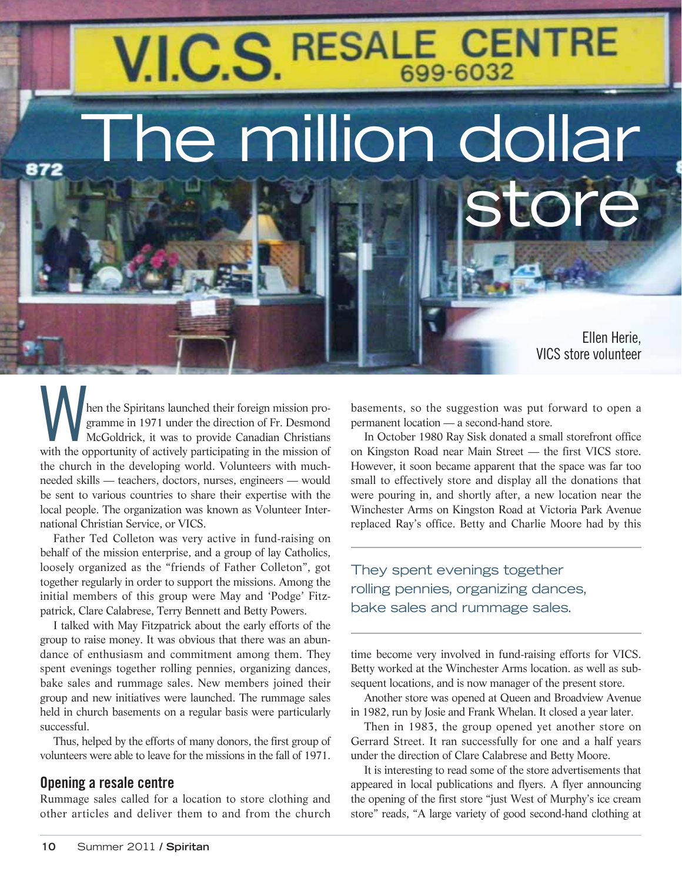# V.I.C.S. RESALE CENTRE

The million dollar

Ellen Herie, VICS store volunteer

tor

When the Spiritans launched their foreign mission programme in 1971 under the direction of Fr. Desmond McGoldrick, it was to provide Canadian Christians with the opportunity of actively participating in the mission of gramme in 1971 under the direction of Fr. Desmond McGoldrick, it was to provide Canadian Christians with the opportunity of actively participating in the mission of the church in the developing world. Volunteers with muchneeded skills — teachers, doctors, nurses, engineers — would be sent to various countries to share their expertise with the local people. The organization was known as Volunteer International Christian Service, or VICS.

Father Ted Colleton was very active in fund-raising on behalf of the mission enterprise, and a group of lay Catholics, loosely organized as the "friends of Father Colleton", got together regularly in order to support the missions. Among the initial members of this group were May and 'Podge' Fitzpatrick, Clare Calabrese, Terry Bennett and Betty Powers.

I talked with May Fitzpatrick about the early efforts of the group to raise money. It was obvious that there was an abundance of enthusiasm and commitment among them. They spent evenings together rolling pennies, organizing dances, bake sales and rummage sales. New members joined their group and new initiatives were launched. The rummage sales held in church basements on a regular basis were particularly successful.

Thus, helped by the efforts of many donors, the first group of volunteers were able to leave for the missions in the fall of 1971.

#### **Opening a resale centre**

872

Rummage sales called for a location to store clothing and other articles and deliver them to and from the church

basements, so the suggestion was put forward to open a permanent location — a second-hand store.

In October 1980 Ray Sisk donated a small storefront office on Kingston Road near Main Street — the first VICS store. However, it soon became apparent that the space was far too small to effectively store and display all the donations that were pouring in, and shortly after, a new location near the Winchester Arms on Kingston Road at Victoria Park Avenue replaced Ray's office. Betty and Charlie Moore had by this

They spent evenings together rolling pennies, organizing dances, bake sales and rummage sales.

time become very involved in fund-raising efforts for VICS. Betty worked at the Winchester Arms location. as well as subsequent locations, and is now manager of the present store.

Another store was opened at Queen and Broadview Avenue in 1982, run by Josie and Frank Whelan. It closed a year later.

Then in 1983, the group opened yet another store on Gerrard Street. It ran successfully for one and a half years under the direction of Clare Calabrese and Betty Moore.

It is interesting to read some of the store advertisements that appeared in local publications and flyers. A flyer announcing the opening of the first store "just West of Murphy's ice cream store" reads, "A large variety of good second-hand clothing at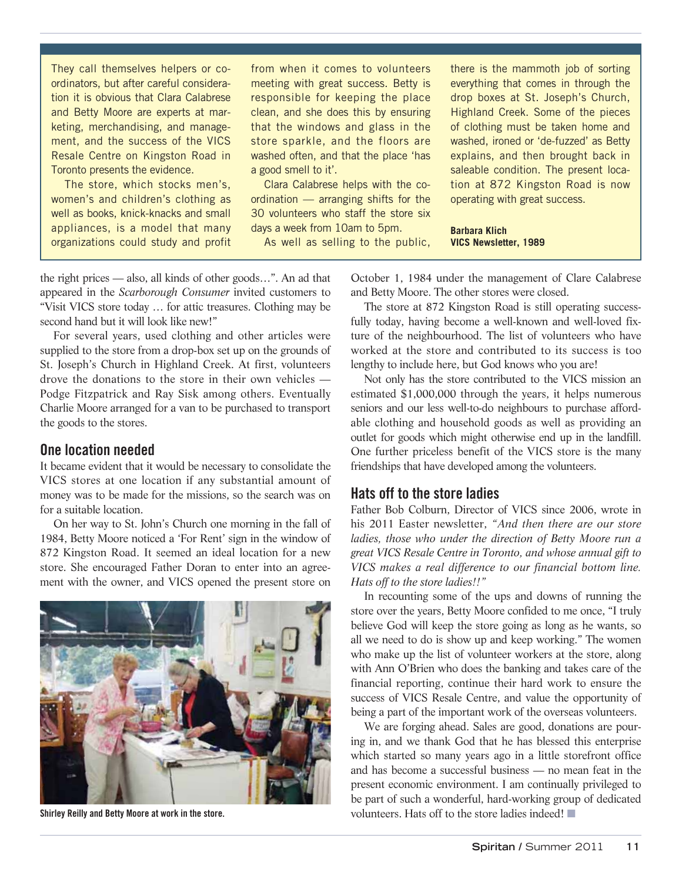They call themselves helpers or coordinators, but after careful consideration it is obvious that Clara Calabrese and Betty Moore are experts at marketing, merchandising, and management, and the success of the VICS Resale Centre on Kingston Road in Toronto presents the evidence.

The store, which stocks men's, women's and children's clothing as well as books, knick-knacks and small appliances, is a model that many organizations could study and profit from when it comes to volunteers meeting with great success. Betty is responsible for keeping the place clean, and she does this by ensuring that the windows and glass in the store sparkle, and the floors are washed often, and that the place 'has a good smell to it'.

Clara Calabrese helps with the coordination — arranging shifts for the 30 volunteers who staff the store six days a week from 10am to 5pm.

As well as selling to the public,

there is the mammoth job of sorting everything that comes in through the drop boxes at St. Joseph's Church, Highland Creek. Some of the pieces of clothing must be taken home and washed, ironed or 'de-fuzzed' as Betty explains, and then brought back in saleable condition. The present location at 872 Kingston Road is now operating with great success.

**Barbara Klich VICS Newsletter, 1989**

the right prices — also, all kinds of other goods…". An ad that appeared in the *Scarborough Consumer* invited customers to "Visit VICS store today … for attic treasures. Clothing may be second hand but it will look like new!"

For several years, used clothing and other articles were supplied to the store from a drop-box set up on the grounds of St. Joseph's Church in Highland Creek. At first, volunteers drove the donations to the store in their own vehicles — Podge Fitzpatrick and Ray Sisk among others. Eventually Charlie Moore arranged for a van to be purchased to transport the goods to the stores.

#### **One location needed**

It became evident that it would be necessary to consolidate the VICS stores at one location if any substantial amount of money was to be made for the missions, so the search was on for a suitable location.

On her way to St. John's Church one morning in the fall of 1984, Betty Moore noticed a 'For Rent' sign in the window of 872 Kingston Road. It seemed an ideal location for a new store. She encouraged Father Doran to enter into an agreement with the owner, and VICS opened the present store on



**Shirley Reilly and Betty Moore at work in the store.**

October 1, 1984 under the management of Clare Calabrese and Betty Moore. The other stores were closed.

The store at 872 Kingston Road is still operating successfully today, having become a well-known and well-loved fixture of the neighbourhood. The list of volunteers who have worked at the store and contributed to its success is too lengthy to include here, but God knows who you are!

Not only has the store contributed to the VICS mission an estimated \$1,000,000 through the years, it helps numerous seniors and our less well-to-do neighbours to purchase affordable clothing and household goods as well as providing an outlet for goods which might otherwise end up in the landfill. One further priceless benefit of the VICS store is the many friendships that have developed among the volunteers.

#### **Hats off to the store ladies**

Father Bob Colburn, Director of VICS since 2006, wrote in his 2011 Easter newsletter, *"And then there are our store ladies, those who under the direction of Betty Moore run a great VICS Resale Centre in Toronto, and whose annual gift to VICS makes a real difference to our financial bottom line. Hats off to the store ladies!!"*

In recounting some of the ups and downs of running the store over the years, Betty Moore confided to me once, "I truly believe God will keep the store going as long as he wants, so all we need to do is show up and keep working." The women who make up the list of volunteer workers at the store, along with Ann O'Brien who does the banking and takes care of the financial reporting, continue their hard work to ensure the success of VICS Resale Centre, and value the opportunity of being a part of the important work of the overseas volunteers.

We are forging ahead. Sales are good, donations are pouring in, and we thank God that he has blessed this enterprise which started so many years ago in a little storefront office and has become a successful business — no mean feat in the present economic environment. I am continually privileged to be part of such a wonderful, hard-working group of dedicated volunteers. Hats off to the store ladies indeed!  $\blacksquare$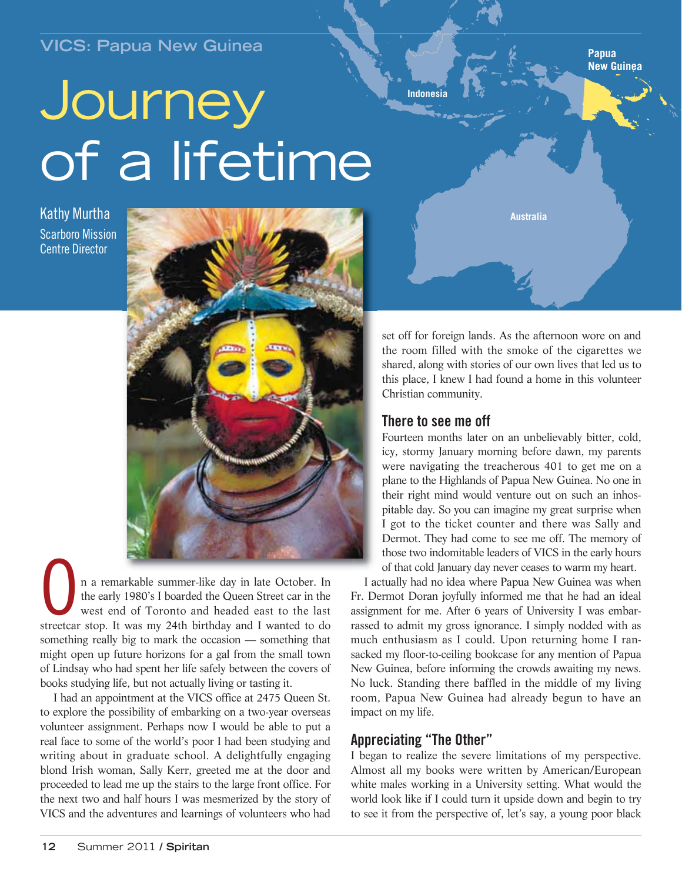# **VICS: Papua New Guinea**

# **Journey** of a lifetime

Kathy Murtha Scarboro Mission Centre Director



n a remarkable summer-like day in late October. In the early 1980's I boarded the Queen Street car in the west end of Toronto and headed east to the last streetcar stop. It was my 24th birthday and I wanted to do something really big to mark the occasion — something that might open up future horizons for a gal from the small town of Lindsay who had spent her life safely between the covers of books studying life, but not actually living or tasting it.

I had an appointment at the VICS office at 2475 Queen St. to explore the possibility of embarking on a two-year overseas volunteer assignment. Perhaps now I would be able to put a real face to some of the world's poor I had been studying and writing about in graduate school. A delightfully engaging blond Irish woman, Sally Kerr, greeted me at the door and proceeded to lead me up the stairs to the large front office. For the next two and half hours I was mesmerized by the story of VICS and the adventures and learnings of volunteers who had

set off for foreign lands. As the afternoon wore on and the room filled with the smoke of the cigarettes we shared, along with stories of our own lives that led us to this place, I knew I had found a home in this volunteer Christian community.

**Australia**

#### **There to see me off**

**Indonesia**

Fourteen months later on an unbelievably bitter, cold, icy, stormy January morning before dawn, my parents were navigating the treacherous 401 to get me on a plane to the Highlands of Papua New Guinea. No one in their right mind would venture out on such an inhospitable day. So you can imagine my great surprise when I got to the ticket counter and there was Sally and Dermot. They had come to see me off. The memory of those two indomitable leaders of VICS in the early hours of that cold January day never ceases to warm my heart.

I actually had no idea where Papua New Guinea was when Fr. Dermot Doran joyfully informed me that he had an ideal assignment for me. After 6 years of University I was embarrassed to admit my gross ignorance. I simply nodded with as much enthusiasm as I could. Upon returning home I ransacked my floor-to-ceiling bookcase for any mention of Papua New Guinea, before informing the crowds awaiting my news. No luck. Standing there baffled in the middle of my living room, Papua New Guinea had already begun to have an impact on my life.

### **Appreciating "The Other"**

I began to realize the severe limitations of my perspective. Almost all my books were written by American/European white males working in a University setting. What would the world look like if I could turn it upside down and begin to try to see it from the perspective of, let's say, a young poor black

**Papua New Guinea**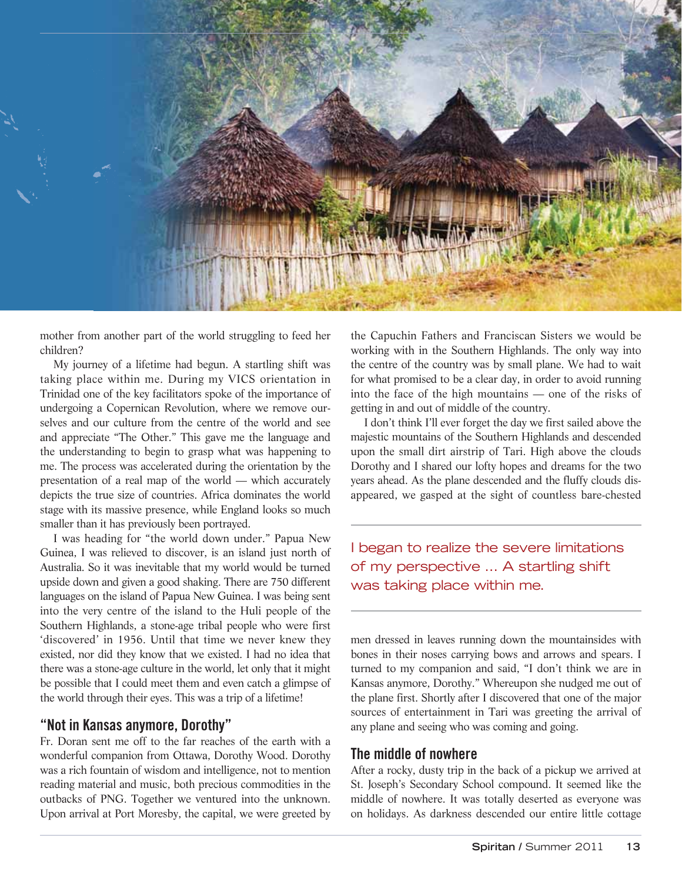

mother from another part of the world struggling to feed her children?

My journey of a lifetime had begun. A startling shift was taking place within me. During my VICS orientation in Trinidad one of the key facilitators spoke of the importance of undergoing a Copernican Revolution, where we remove ourselves and our culture from the centre of the world and see and appreciate "The Other." This gave me the language and the understanding to begin to grasp what was happening to me. The process was accelerated during the orientation by the presentation of a real map of the world — which accurately depicts the true size of countries. Africa dominates the world stage with its massive presence, while England looks so much smaller than it has previously been portrayed.

I was heading for "the world down under." Papua New Guinea, I was relieved to discover, is an island just north of Australia. So it was inevitable that my world would be turned upside down and given a good shaking. There are 750 different languages on the island of Papua New Guinea. I was being sent into the very centre of the island to the Huli people of the Southern Highlands, a stone-age tribal people who were first 'discovered' in 1956. Until that time we never knew they existed, nor did they know that we existed. I had no idea that there was a stone-age culture in the world, let only that it might be possible that I could meet them and even catch a glimpse of the world through their eyes. This was a trip of a lifetime!

#### **"Not in Kansas anymore, Dorothy"**

Fr. Doran sent me off to the far reaches of the earth with a wonderful companion from Ottawa, Dorothy Wood. Dorothy was a rich fountain of wisdom and intelligence, not to mention reading material and music, both precious commodities in the outbacks of PNG. Together we ventured into the unknown. Upon arrival at Port Moresby, the capital, we were greeted by

the Capuchin Fathers and Franciscan Sisters we would be working with in the Southern Highlands. The only way into the centre of the country was by small plane. We had to wait for what promised to be a clear day, in order to avoid running into the face of the high mountains — one of the risks of getting in and out of middle of the country.

I don't think I'll ever forget the day we first sailed above the majestic mountains of the Southern Highlands and descended upon the small dirt airstrip of Tari. High above the clouds Dorothy and I shared our lofty hopes and dreams for the two years ahead. As the plane descended and the fluffy clouds disappeared, we gasped at the sight of countless bare-chested

I began to realize the severe limitations of my perspective … A startling shift was taking place within me.

men dressed in leaves running down the mountainsides with bones in their noses carrying bows and arrows and spears. I turned to my companion and said, "I don't think we are in Kansas anymore, Dorothy." Whereupon she nudged me out of the plane first. Shortly after I discovered that one of the major sources of entertainment in Tari was greeting the arrival of any plane and seeing who was coming and going.

#### **The middle of nowhere**

After a rocky, dusty trip in the back of a pickup we arrived at St. Joseph's Secondary School compound. It seemed like the middle of nowhere. It was totally deserted as everyone was on holidays. As darkness descended our entire little cottage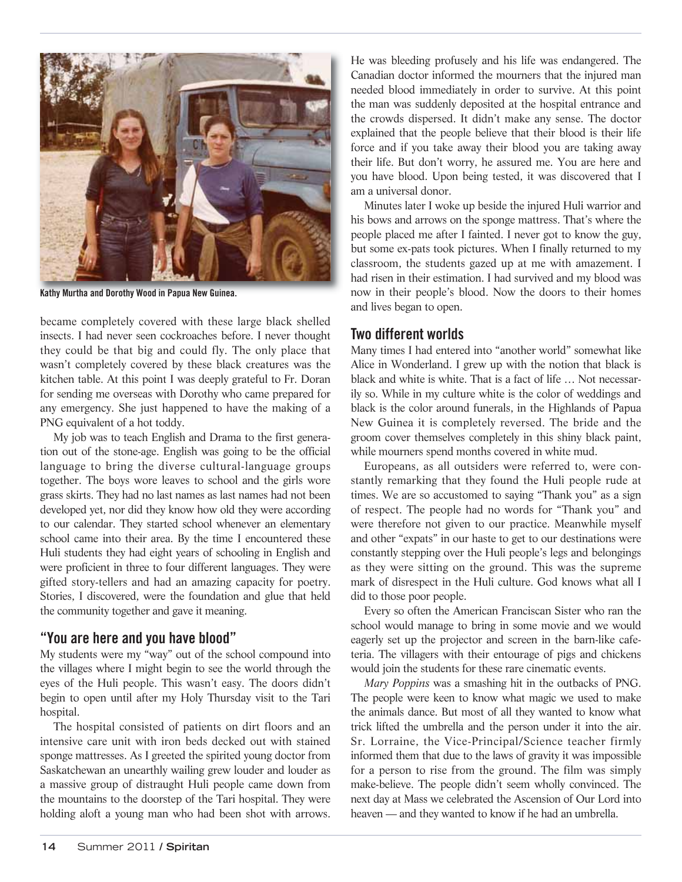

**Kathy Murtha and Dorothy Wood in Papua New Guinea.**

became completely covered with these large black shelled insects. I had never seen cockroaches before. I never thought they could be that big and could fly. The only place that wasn't completely covered by these black creatures was the kitchen table. At this point I was deeply grateful to Fr. Doran for sending me overseas with Dorothy who came prepared for any emergency. She just happened to have the making of a PNG equivalent of a hot toddy.

My job was to teach English and Drama to the first generation out of the stone-age. English was going to be the official language to bring the diverse cultural-language groups together. The boys wore leaves to school and the girls wore grass skirts. They had no last names as last names had not been developed yet, nor did they know how old they were according to our calendar. They started school whenever an elementary school came into their area. By the time I encountered these Huli students they had eight years of schooling in English and were proficient in three to four different languages. They were gifted story-tellers and had an amazing capacity for poetry. Stories, I discovered, were the foundation and glue that held the community together and gave it meaning.

#### **"You are here and you have blood"**

My students were my "way" out of the school compound into the villages where I might begin to see the world through the eyes of the Huli people. This wasn't easy. The doors didn't begin to open until after my Holy Thursday visit to the Tari hospital.

The hospital consisted of patients on dirt floors and an intensive care unit with iron beds decked out with stained sponge mattresses. As I greeted the spirited young doctor from Saskatchewan an unearthly wailing grew louder and louder as a massive group of distraught Huli people came down from the mountains to the doorstep of the Tari hospital. They were holding aloft a young man who had been shot with arrows. He was bleeding profusely and his life was endangered. The Canadian doctor informed the mourners that the injured man needed blood immediately in order to survive. At this point the man was suddenly deposited at the hospital entrance and the crowds dispersed. It didn't make any sense. The doctor explained that the people believe that their blood is their life force and if you take away their blood you are taking away their life. But don't worry, he assured me. You are here and you have blood. Upon being tested, it was discovered that I am a universal donor.

Minutes later I woke up beside the injured Huli warrior and his bows and arrows on the sponge mattress. That's where the people placed me after I fainted. I never got to know the guy, but some ex-pats took pictures. When I finally returned to my classroom, the students gazed up at me with amazement. I had risen in their estimation. I had survived and my blood was now in their people's blood. Now the doors to their homes and lives began to open.

#### **Two different worlds**

Many times I had entered into "another world" somewhat like Alice in Wonderland. I grew up with the notion that black is black and white is white. That is a fact of life … Not necessarily so. While in my culture white is the color of weddings and black is the color around funerals, in the Highlands of Papua New Guinea it is completely reversed. The bride and the groom cover themselves completely in this shiny black paint, while mourners spend months covered in white mud.

Europeans, as all outsiders were referred to, were constantly remarking that they found the Huli people rude at times. We are so accustomed to saying "Thank you" as a sign of respect. The people had no words for "Thank you" and were therefore not given to our practice. Meanwhile myself and other "expats" in our haste to get to our destinations were constantly stepping over the Huli people's legs and belongings as they were sitting on the ground. This was the supreme mark of disrespect in the Huli culture. God knows what all I did to those poor people.

Every so often the American Franciscan Sister who ran the school would manage to bring in some movie and we would eagerly set up the projector and screen in the barn-like cafeteria. The villagers with their entourage of pigs and chickens would join the students for these rare cinematic events.

*Mary Poppins* was a smashing hit in the outbacks of PNG. The people were keen to know what magic we used to make the animals dance. But most of all they wanted to know what trick lifted the umbrella and the person under it into the air. Sr. Lorraine, the Vice-Principal/Science teacher firmly informed them that due to the laws of gravity it was impossible for a person to rise from the ground. The film was simply make-believe. The people didn't seem wholly convinced. The next day at Mass we celebrated the Ascension of Our Lord into heaven — and they wanted to know if he had an umbrella.